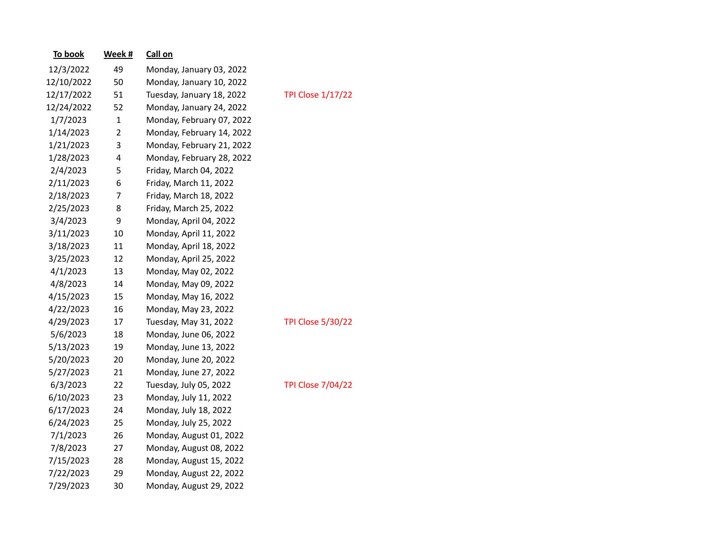| To book    | Week # | Call on                   |                  |
|------------|--------|---------------------------|------------------|
| 12/3/2022  | 49     | Monday, January 03, 2022  |                  |
| 12/10/2022 | 50     | Monday, January 10, 2022  |                  |
| 12/17/2022 | 51     | Tuesday, January 18, 2022 | <b>TPI Close</b> |
| 12/24/2022 | 52     | Monday, January 24, 2022  |                  |
| 1/7/2023   | 1      | Monday, February 07, 2022 |                  |
| 1/14/2023  | 2      | Monday, February 14, 2022 |                  |
| 1/21/2023  | 3      | Monday, February 21, 2022 |                  |
| 1/28/2023  | 4      | Monday, February 28, 2022 |                  |
| 2/4/2023   | 5      | Friday, March 04, 2022    |                  |
| 2/11/2023  | 6      | Friday, March 11, 2022    |                  |
| 2/18/2023  | 7      | Friday, March 18, 2022    |                  |
| 2/25/2023  | 8      | Friday, March 25, 2022    |                  |
| 3/4/2023   | 9      | Monday, April 04, 2022    |                  |
| 3/11/2023  | 10     | Monday, April 11, 2022    |                  |
| 3/18/2023  | 11     | Monday, April 18, 2022    |                  |
| 3/25/2023  | 12     | Monday, April 25, 2022    |                  |
| 4/1/2023   | 13     | Monday, May 02, 2022      |                  |
| 4/8/2023   | 14     | Monday, May 09, 2022      |                  |
| 4/15/2023  | 15     | Monday, May 16, 2022      |                  |
| 4/22/2023  | 16     | Monday, May 23, 2022      |                  |
| 4/29/2023  | 17     | Tuesday, May 31, 2022     | <b>TPI Close</b> |
| 5/6/2023   | 18     | Monday, June 06, 2022     |                  |
| 5/13/2023  | 19     | Monday, June 13, 2022     |                  |
| 5/20/2023  | 20     | Monday, June 20, 2022     |                  |
| 5/27/2023  | 21     | Monday, June 27, 2022     |                  |
| 6/3/2023   | 22     | Tuesday, July 05, 2022    | <b>TPI Close</b> |
| 6/10/2023  | 23     | Monday, July 11, 2022     |                  |
| 6/17/2023  | 24     | Monday, July 18, 2022     |                  |
| 6/24/2023  | 25     | Monday, July 25, 2022     |                  |
| 7/1/2023   | 26     | Monday, August 01, 2022   |                  |
| 7/8/2023   | 27     | Monday, August 08, 2022   |                  |
| 7/15/2023  | 28     | Monday, August 15, 2022   |                  |
| 7/22/2023  | 29     | Monday, August 22, 2022   |                  |
| 7/29/2023  | 30     | Monday, August 29, 2022   |                  |

 $: 1/17/22$ 

 $1.5/30/22$ 

 $.7/04/22$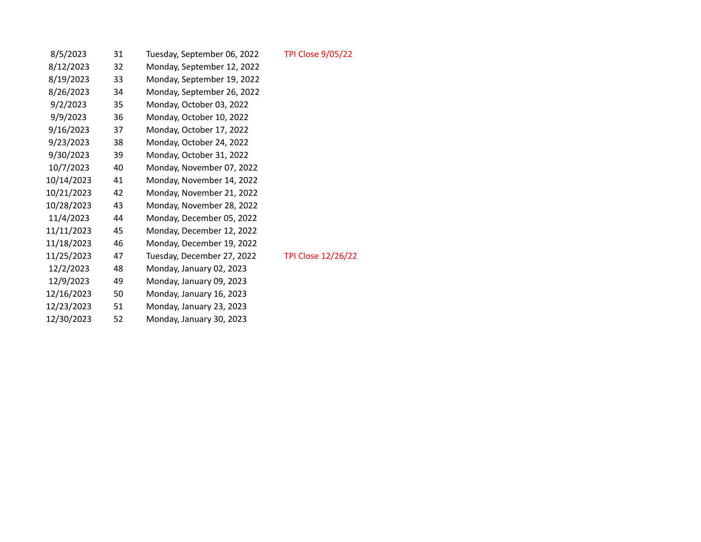| 8/5/2023   | 31 | Tuesday, September 06, 2022 | <b>TPI Close 9/05/22</b>  |
|------------|----|-----------------------------|---------------------------|
| 8/12/2023  | 32 | Monday, September 12, 2022  |                           |
| 8/19/2023  | 33 | Monday, September 19, 2022  |                           |
| 8/26/2023  | 34 | Monday, September 26, 2022  |                           |
| 9/2/2023   | 35 | Monday, October 03, 2022    |                           |
| 9/9/2023   | 36 | Monday, October 10, 2022    |                           |
| 9/16/2023  | 37 | Monday, October 17, 2022    |                           |
| 9/23/2023  | 38 | Monday, October 24, 2022    |                           |
| 9/30/2023  | 39 | Monday, October 31, 2022    |                           |
| 10/7/2023  | 40 | Monday, November 07, 2022   |                           |
| 10/14/2023 | 41 | Monday, November 14, 2022   |                           |
| 10/21/2023 | 42 | Monday, November 21, 2022   |                           |
| 10/28/2023 | 43 | Monday, November 28, 2022   |                           |
| 11/4/2023  | 44 | Monday, December 05, 2022   |                           |
| 11/11/2023 | 45 | Monday, December 12, 2022   |                           |
| 11/18/2023 | 46 | Monday, December 19, 2022   |                           |
| 11/25/2023 | 47 | Tuesday, December 27, 2022  | <b>TPI Close 12/26/22</b> |
| 12/2/2023  | 48 | Monday, January 02, 2023    |                           |
| 12/9/2023  | 49 | Monday, January 09, 2023    |                           |
| 12/16/2023 | 50 | Monday, January 16, 2023    |                           |
| 12/23/2023 | 51 | Monday, January 23, 2023    |                           |
| 12/30/2023 | 52 | Monday, January 30, 2023    |                           |
|            |    |                             |                           |